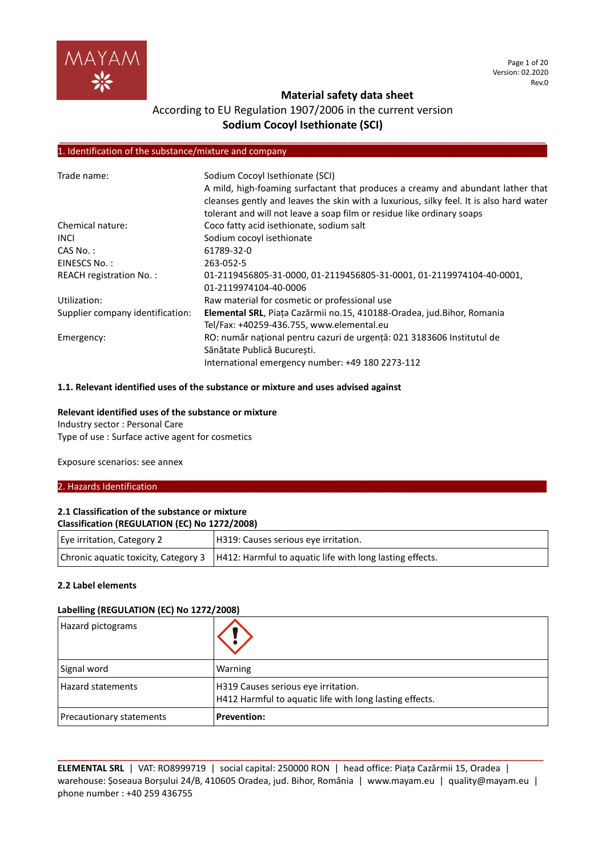

# According to EU Regulation 1907/2006 in the current version **Sodium Cocoyl Isethionate (SCI)**

**\_\_\_\_\_\_\_\_\_\_\_\_\_\_\_\_\_\_\_\_\_\_\_\_\_\_\_\_\_\_\_\_\_\_\_\_\_\_\_\_\_\_\_\_\_\_\_\_\_\_\_\_\_\_\_\_\_\_\_\_\_\_\_\_\_\_\_\_\_\_\_\_\_\_\_\_\_\_\_\_\_\_\_\_\_\_\_\_\_\_\_\_\_\_\_\_**

#### 1. Identification of the substance/mixture and company.

| Trade name:                      | Sodium Cocoyl Isethionate (SCI)<br>A mild, high-foaming surfactant that produces a creamy and abundant lather that<br>cleanses gently and leaves the skin with a luxurious, silky feel. It is also hard water<br>tolerant and will not leave a soap film or residue like ordinary soaps |
|----------------------------------|-----------------------------------------------------------------------------------------------------------------------------------------------------------------------------------------------------------------------------------------------------------------------------------------|
| Chemical nature:                 | Coco fatty acid isethionate, sodium salt                                                                                                                                                                                                                                                |
| <b>INCL</b>                      | Sodium cocoyl isethionate                                                                                                                                                                                                                                                               |
| $CAS No.$ :                      | 61789-32-0                                                                                                                                                                                                                                                                              |
| EINESCS No.:                     | 263-052-5                                                                                                                                                                                                                                                                               |
| <b>REACH registration No.:</b>   | 01-2119456805-31-0000, 01-2119456805-31-0001, 01-2119974104-40-0001,<br>01-2119974104-40-0006                                                                                                                                                                                           |
| Utilization:                     | Raw material for cosmetic or professional use                                                                                                                                                                                                                                           |
| Supplier company identification: | Elemental SRL, Piața Cazărmii no.15, 410188-Oradea, jud. Bihor, Romania<br>Tel/Fax: +40259-436.755, www.elemental.eu                                                                                                                                                                    |
| Emergency:                       | RO: număr național pentru cazuri de urgență: 021 3183606 Institutul de<br>Sănătate Publică București.<br>International emergency number: +49 180 2273-112                                                                                                                               |

#### **1.1. Relevant identified uses of the substance or mixture and uses advised against**

#### **Relevant identified uses of the substance or mixture**

Industry sector : Personal Care Type of use : Surface active agent for cosmetics

Exposure scenarios: see annex

#### 2. Hazards Identification.

#### **2.1 Classification of the substance or mixture Classification (REGULATION (EC) No 1272/2008)**

| . . <b>.</b>               |                                                                                                 |  |
|----------------------------|-------------------------------------------------------------------------------------------------|--|
| Eye irritation, Category 2 | H319: Causes serious eye irritation.                                                            |  |
|                            | Chronic aquatic toxicity, Category 3   H412: Harmful to aquatic life with long lasting effects. |  |

### **2.2 Label elements**

## **Labelling (REGULATION (EC) No 1272/2008)**

| Hazard pictograms               |                                                                                                |
|---------------------------------|------------------------------------------------------------------------------------------------|
| Signal word                     | Warning                                                                                        |
| <b>Hazard statements</b>        | H319 Causes serious eye irritation.<br>H412 Harmful to aquatic life with long lasting effects. |
| <b>Precautionary statements</b> | <b>Prevention:</b>                                                                             |

**ELEMENTAL SRL** | VAT: RO8999719 | social capital: 250000 RON | head office: Piața Cazărmii 15, Oradea | warehouse: Șoseaua Borșului 24/B, 410605 Oradea, jud. Bihor, România | www.mayam.eu | quality@mayam.eu | phone number : +40 259 436755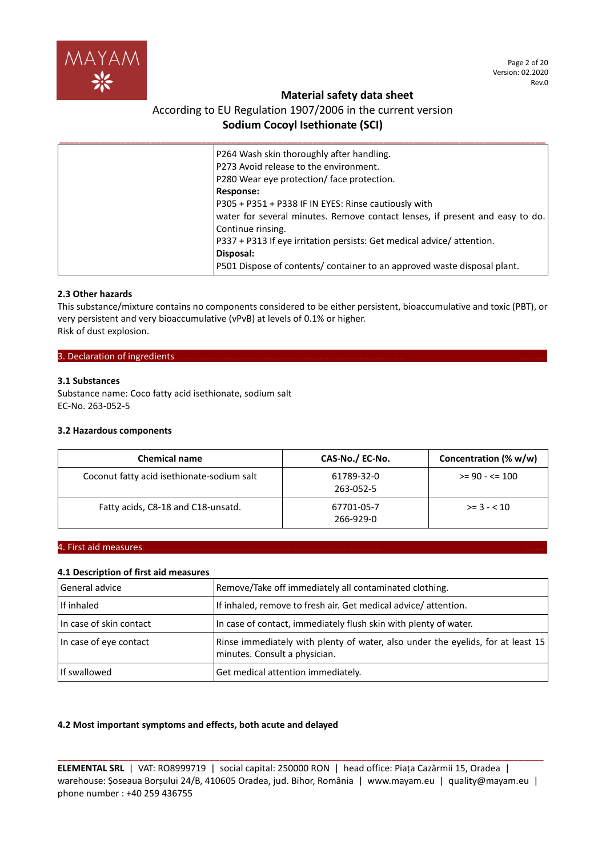

Page 2 of 20 Version: 02.2020 Rev.0

## **Material safety data sheet**

# According to EU Regulation 1907/2006 in the current version **Sodium Cocoyl Isethionate (SCI)**

| P264 Wash skin thoroughly after handling.                                    |
|------------------------------------------------------------------------------|
| P273 Avoid release to the environment.                                       |
| P280 Wear eye protection/face protection.                                    |
| <b>Response:</b>                                                             |
| P305 + P351 + P338 IF IN EYES: Rinse cautiously with                         |
| water for several minutes. Remove contact lenses, if present and easy to do. |
| Continue rinsing.                                                            |
| P337 + P313 If eye irritation persists: Get medical advice/attention.        |
| Disposal:                                                                    |
| P501 Dispose of contents/ container to an approved waste disposal plant.     |

## **2.3 Other hazards**

This substance/mixture contains no components considered to be either persistent, bioaccumulative and toxic (PBT), or very persistent and very bioaccumulative (vPvB) at levels of 0.1% or higher. Risk of dust explosion.

### 3. Declaration of ingredients.

## **3.1 Substances**

Substance name: Coco fatty acid isethionate, sodium salt EC-No. 263-052-5

## **3.2 Hazardous components**

| <b>Chemical name</b>                       | CAS-No./ EC-No.         | Concentration (% w/w) |  |
|--------------------------------------------|-------------------------|-----------------------|--|
| Coconut fatty acid isethionate-sodium salt | 61789-32-0<br>263-052-5 | $>= 90 - 5 = 100$     |  |
| Fatty acids, C8-18 and C18-unsatd.         | 67701-05-7<br>266-929-0 | $>= 3 - 10$           |  |

## 4. First aid measures………………………………………………………………………………………… ………

## **4.1 Description of first aid measures**

| General advice          | Remove/Take off immediately all contaminated clothing.                                                           |
|-------------------------|------------------------------------------------------------------------------------------------------------------|
| l If inhaled            | If inhaled, remove to fresh air. Get medical advice/attention.                                                   |
| In case of skin contact | In case of contact, immediately flush skin with plenty of water.                                                 |
| In case of eye contact  | Rinse immediately with plenty of water, also under the eyelids, for at least 15<br>minutes. Consult a physician. |
| If swallowed            | Get medical attention immediately.                                                                               |

## **4.2 Most important symptoms and effects, both acute and delayed**

**ELEMENTAL SRL** | VAT: RO8999719 | social capital: 250000 RON | head office: Piața Cazărmii 15, Oradea | warehouse: Șoseaua Borșului 24/B, 410605 Oradea, jud. Bihor, România | www.mayam.eu | quality@mayam.eu | phone number : +40 259 436755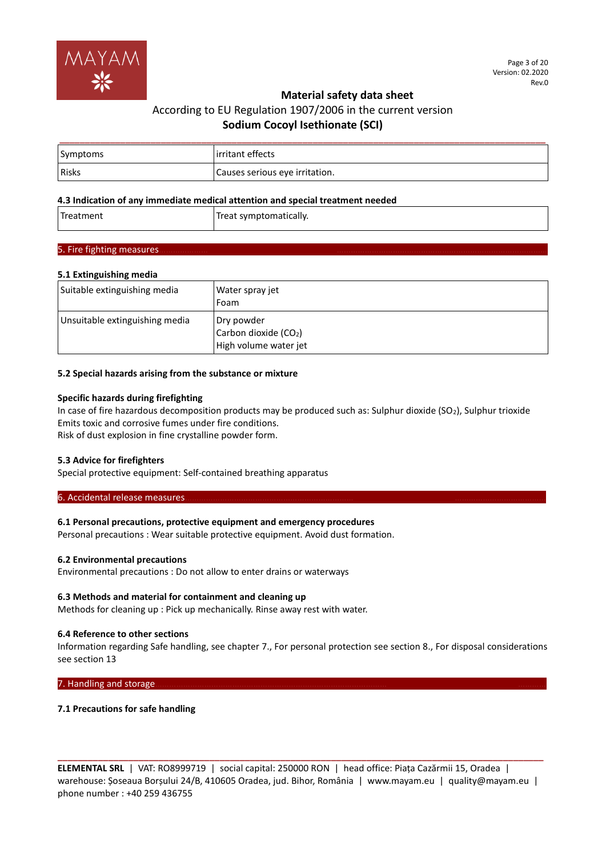

# According to EU Regulation 1907/2006 in the current version **Sodium Cocoyl Isethionate (SCI)**

| Symptoms | lirritant effects              |
|----------|--------------------------------|
| Risks    | Causes serious eye irritation. |

## **4.3 Indication of any immediate medical attention and special treatment needed**

| Treatment | Treat symptomatically. |
|-----------|------------------------|
|           |                        |

## 5. Fire fighting measures.

### **5.1 Extinguishing media**

| Suitable extinguishing media   | Water spray jet<br>Foam                                     |
|--------------------------------|-------------------------------------------------------------|
| Unsuitable extinguishing media | Dry powder<br>Carbon dioxide (CO2)<br>High volume water jet |

#### **5.2 Special hazards arising from the substance or mixture**

### **Specific hazards during firefighting**

In case of fire hazardous decomposition products may be produced such as: Sulphur dioxide (SO<sub>2</sub>), Sulphur trioxide Emits toxic and corrosive fumes under fire conditions. Risk of dust explosion in fine crystalline powder form.

#### **5.3 Advice for firefighters**

Special protective equipment: Self-contained breathing apparatus

#### 6. Accidental release measures.

## **6.1 Personal precautions, protective equipment and emergency procedures**

Personal precautions : Wear suitable protective equipment. Avoid dust formation.

#### **6.2 Environmental precautions**

Environmental precautions : Do not allow to enter drains or waterways

## **6.3 Methods and material for containment and cleaning up**

Methods for cleaning up : Pick up mechanically. Rinse away rest with water.

#### **6.4 Reference to other sections**

Information regarding Safe handling, see chapter 7., For personal protection see section 8., For disposal considerations see section 13

7. Handling and storage...

#### **7.1 Precautions for safe handling**

**ELEMENTAL SRL** | VAT: RO8999719 | social capital: 250000 RON | head office: Piața Cazărmii 15, Oradea | warehouse: Șoseaua Borșului 24/B, 410605 Oradea, jud. Bihor, România | www.mayam.eu | quality@mayam.eu | phone number : +40 259 436755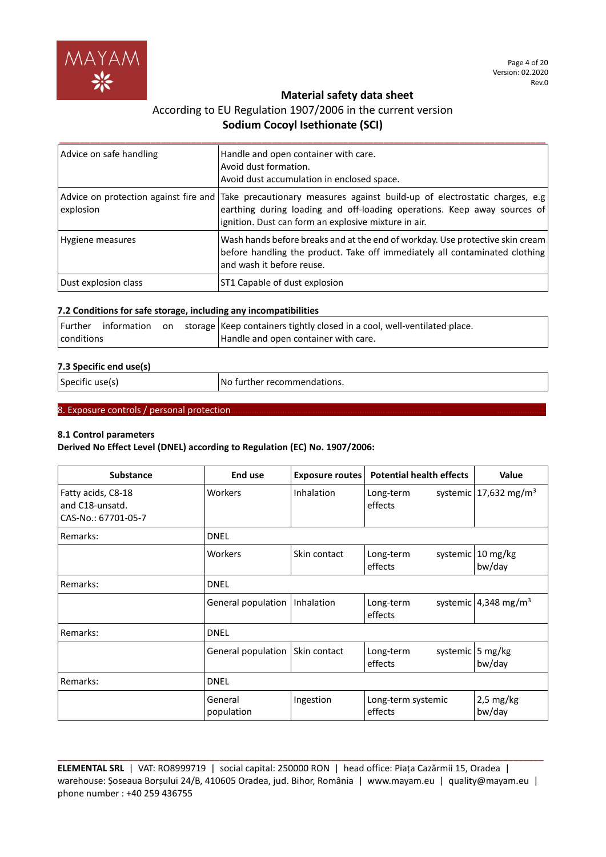

# According to EU Regulation 1907/2006 in the current version **Sodium Cocoyl Isethionate (SCI)**

| Advice on safe handling | Handle and open container with care.<br>Avoid dust formation.<br>Avoid dust accumulation in enclosed space.                                                                                                                                          |
|-------------------------|------------------------------------------------------------------------------------------------------------------------------------------------------------------------------------------------------------------------------------------------------|
| explosion               | Advice on protection against fire and Take precautionary measures against build-up of electrostatic charges, e.g<br>earthing during loading and off-loading operations. Keep away sources of<br>ignition. Dust can form an explosive mixture in air. |
| Hygiene measures        | Wash hands before breaks and at the end of workday. Use protective skin cream<br>before handling the product. Take off immediately all contaminated clothing<br>and wash it before reuse.                                                            |
| Dust explosion class    | ST1 Capable of dust explosion                                                                                                                                                                                                                        |

## **7.2 Conditions for safe storage, including any incompatibilities**

|            |  | Further information on storage Keep containers tightly closed in a cool, well-ventilated place. |
|------------|--|-------------------------------------------------------------------------------------------------|
| conditions |  | Handle and open container with care.                                                            |

## **7.3 Specific end use(s)**

| Specific use(s) | No further recommendations. |
|-----------------|-----------------------------|
|-----------------|-----------------------------|

# 8. Exposure controls / personal protection.

## **8.1 Control parameters**

**Derived No Effect Level (DNEL) according to Regulation (EC) No. 1907/2006:**

| <b>Substance</b>                                             | End use               | <b>Exposure routes</b> | <b>Potential health effects</b>  | <b>Value</b>                          |
|--------------------------------------------------------------|-----------------------|------------------------|----------------------------------|---------------------------------------|
| Fatty acids, C8-18<br>and C18-unsatd.<br>CAS-No.: 67701-05-7 | Workers               | Inhalation             | Long-term<br>effects             | systemic   $17,632$ mg/m <sup>3</sup> |
| Remarks:                                                     | <b>DNEL</b>           |                        |                                  |                                       |
|                                                              | Workers               | Skin contact           | systemic<br>Long-term<br>effects | $10 \text{ mg/kg}$<br>bw/day          |
| Remarks:                                                     | <b>DNEL</b>           |                        |                                  |                                       |
|                                                              | General population    | Inhalation             | Long-term<br>effects             | systemic 4,348 mg/m <sup>3</sup>      |
| Remarks:                                                     | <b>DNEL</b>           |                        |                                  |                                       |
|                                                              | General population    | Skin contact           | Long-term<br>effects             | systemic 5 mg/kg<br>bw/day            |
| Remarks:                                                     | <b>DNEL</b>           |                        |                                  |                                       |
|                                                              | General<br>population | Ingestion              | Long-term systemic<br>effects    | $2,5$ mg/kg<br>bw/day                 |

**ELEMENTAL SRL** | VAT: RO8999719 | social capital: 250000 RON | head office: Piața Cazărmii 15, Oradea | warehouse: Șoseaua Borșului 24/B, 410605 Oradea, jud. Bihor, România | www.mayam.eu | quality@mayam.eu | phone number : +40 259 436755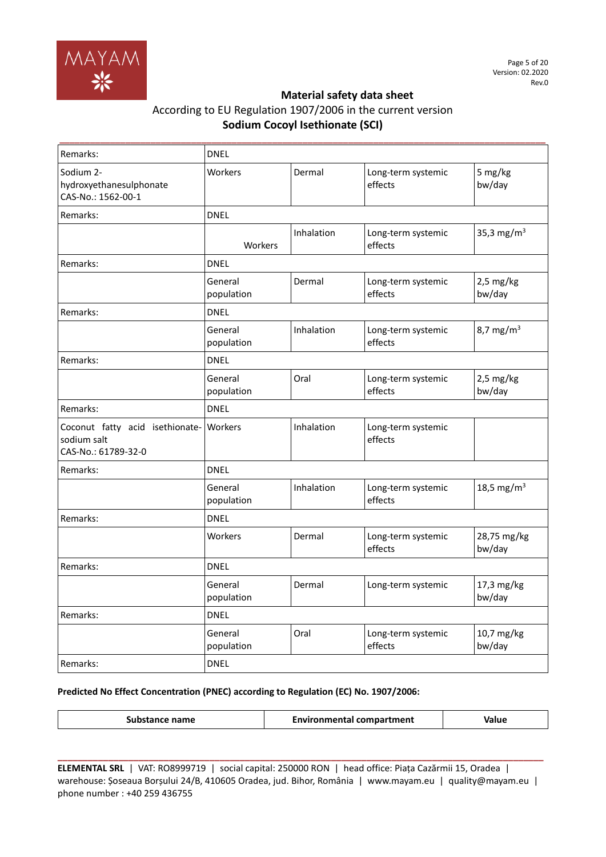

| Remarks:                                                              | <b>DNEL</b>           |            |                               |                        |
|-----------------------------------------------------------------------|-----------------------|------------|-------------------------------|------------------------|
| Sodium 2-<br>hydroxyethanesulphonate<br>CAS-No.: 1562-00-1            | Workers               | Dermal     | Long-term systemic<br>effects | 5 mg/kg<br>bw/day      |
| Remarks:                                                              | <b>DNEL</b>           |            |                               |                        |
|                                                                       | Workers               | Inhalation | Long-term systemic<br>effects | 35,3 mg/m <sup>3</sup> |
| Remarks:                                                              | <b>DNEL</b>           |            |                               |                        |
|                                                                       | General<br>population | Dermal     | Long-term systemic<br>effects | $2,5$ mg/kg<br>bw/day  |
| Remarks:                                                              | <b>DNEL</b>           |            |                               |                        |
|                                                                       | General<br>population | Inhalation | Long-term systemic<br>effects | 8,7 mg/m <sup>3</sup>  |
| Remarks:                                                              | <b>DNEL</b>           |            |                               |                        |
|                                                                       | General<br>population | Oral       | Long-term systemic<br>effects | $2,5$ mg/kg<br>bw/day  |
| Remarks:                                                              | <b>DNEL</b>           |            |                               |                        |
| Coconut fatty acid isethionate-<br>sodium salt<br>CAS-No.: 61789-32-0 | Workers               | Inhalation | Long-term systemic<br>effects |                        |
| Remarks:                                                              | <b>DNEL</b>           |            |                               |                        |
|                                                                       | General<br>population | Inhalation | Long-term systemic<br>effects | 18,5 mg/m <sup>3</sup> |
| Remarks:                                                              | <b>DNEL</b>           |            |                               |                        |
|                                                                       | Workers               | Dermal     | Long-term systemic<br>effects | 28,75 mg/kg<br>bw/day  |
| Remarks:                                                              | <b>DNEL</b>           |            |                               |                        |
|                                                                       | General<br>population | Dermal     | Long-term systemic            | 17,3 mg/kg<br>bw/day   |
| Remarks:                                                              | <b>DNEL</b>           |            |                               |                        |
|                                                                       | General<br>population | Oral       | Long-term systemic<br>effects | 10,7 mg/kg<br>bw/day   |
| Remarks:                                                              | <b>DNEL</b>           |            |                               |                        |

## **Predicted No Effect Concentration (PNEC) according to Regulation (EC) No. 1907/2006:**

|  | ce name<br>istanci | Environmental compartment | Value |
|--|--------------------|---------------------------|-------|
|--|--------------------|---------------------------|-------|

**ELEMENTAL SRL** | VAT: RO8999719 | social capital: 250000 RON | head office: Piața Cazărmii 15, Oradea | warehouse: Șoseaua Borșului 24/B, 410605 Oradea, jud. Bihor, România | www.mayam.eu | quality@mayam.eu | phone number : +40 259 436755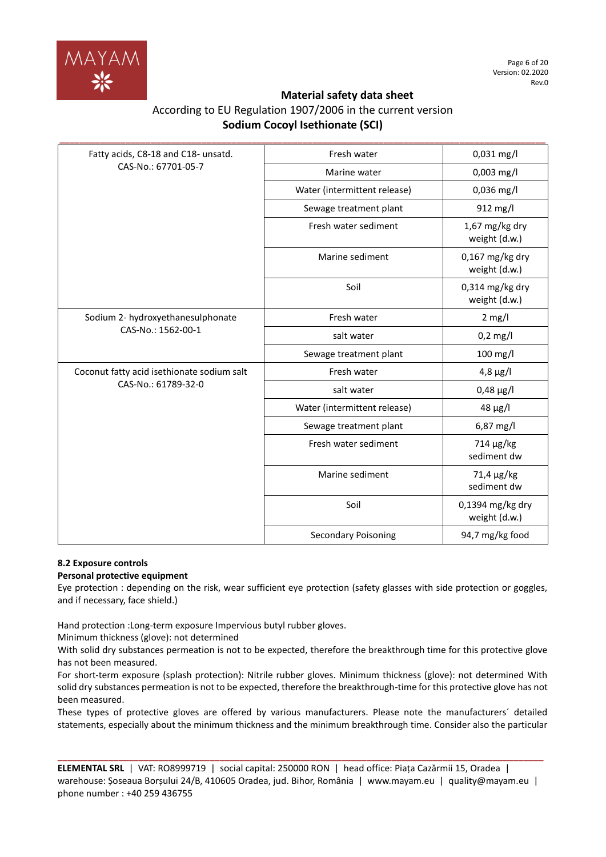

| According to EU Regulation 1907/2006 in the current version |
|-------------------------------------------------------------|
| <b>Sodium Cocoyl Isethionate (SCI)</b>                      |

| Fatty acids, C8-18 and C18- unsatd.        | Fresh water                  | 0,031 mg/l                         |
|--------------------------------------------|------------------------------|------------------------------------|
| CAS-No.: 67701-05-7                        | Marine water                 | 0,003 mg/l                         |
|                                            | Water (intermittent release) | $0,036$ mg/l                       |
|                                            | Sewage treatment plant       | 912 mg/l                           |
|                                            | Fresh water sediment         | $1,67$ mg/kg dry<br>weight (d.w.)  |
|                                            | Marine sediment              | $0,167$ mg/kg dry<br>weight (d.w.) |
|                                            | Soil                         | $0,314$ mg/kg dry<br>weight (d.w.) |
| Sodium 2- hydroxyethanesulphonate          | Fresh water                  | $2$ mg/l                           |
| CAS-No.: 1562-00-1                         | salt water                   | $0,2$ mg/l                         |
|                                            | Sewage treatment plant       | 100 mg/l                           |
| Coconut fatty acid isethionate sodium salt | Fresh water                  | $4,8 \mu g/l$                      |
| CAS-No.: 61789-32-0                        | salt water                   | $0,48 \,\mu g/l$                   |
|                                            | Water (intermittent release) | $48 \mu g/l$                       |
|                                            | Sewage treatment plant       | 6,87 mg/l                          |
|                                            | Fresh water sediment         | $714 \mu g/kg$<br>sediment dw      |
|                                            | Marine sediment              | 71,4 µg/kg<br>sediment dw          |
|                                            | Soil                         | 0,1394 mg/kg dry<br>weight (d.w.)  |
|                                            | <b>Secondary Poisoning</b>   | 94,7 mg/kg food                    |

## **8.2 Exposure controls**

## **Personal protective equipment**

Eye protection : depending on the risk, wear sufficient eye protection (safety glasses with side protection or goggles, and if necessary, face shield.)

Hand protection :Long-term exposure Impervious butyl rubber gloves.

Minimum thickness (glove): not determined

With solid dry substances permeation is not to be expected, therefore the breakthrough time for this protective glove has not been measured.

For short-term exposure (splash protection): Nitrile rubber gloves. Minimum thickness (glove): not determined With solid dry substances permeation is not to be expected, therefore the breakthrough-time for this protective glove has not been measured.

These types of protective gloves are offered by various manufacturers. Please note the manufacturers´ detailed statements, especially about the minimum thickness and the minimum breakthrough time. Consider also the particular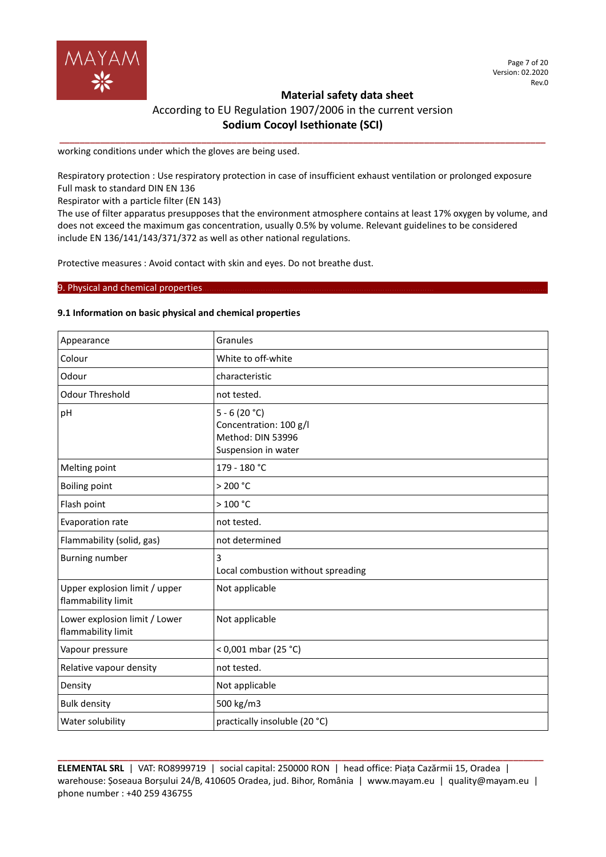

**\_\_\_\_\_\_\_\_\_\_\_\_\_\_\_\_\_\_\_\_\_\_\_\_\_\_\_\_\_\_\_\_\_\_\_\_\_\_\_\_\_\_\_\_\_\_\_\_\_\_\_\_\_\_\_\_\_\_\_\_\_\_\_\_\_\_\_\_\_\_\_\_\_\_\_\_\_\_\_\_\_\_\_\_\_\_\_\_\_\_\_\_\_\_\_\_**

working conditions under which the gloves are being used.

Respiratory protection : Use respiratory protection in case of insufficient exhaust ventilation or prolonged exposure Full mask to standard DIN EN 136

Respirator with a particle filter (EN 143)

The use of filter apparatus presupposes that the environment atmosphere contains at least 17% oxygen by volume, and does not exceed the maximum gas concentration, usually 0.5% by volume. Relevant guidelines to be considered include EN 136/141/143/371/372 as well as other national regulations.

Protective measures : Avoid contact with skin and eyes. Do not breathe dust.

## 9. Physical and chemical properties.

## **9.1 Information on basic physical and chemical properties**

| Appearance                                          | Granules                                                                             |
|-----------------------------------------------------|--------------------------------------------------------------------------------------|
| Colour                                              | White to off-white                                                                   |
| Odour                                               | characteristic                                                                       |
| <b>Odour Threshold</b>                              | not tested.                                                                          |
| pH                                                  | $5 - 6(20 °C)$<br>Concentration: 100 g/l<br>Method: DIN 53996<br>Suspension in water |
| Melting point                                       | 179 - 180 °C                                                                         |
| <b>Boiling point</b>                                | $>$ 200 °C                                                                           |
| Flash point                                         | >100 °C                                                                              |
| Evaporation rate                                    | not tested.                                                                          |
| Flammability (solid, gas)                           | not determined                                                                       |
| <b>Burning number</b>                               | 3<br>Local combustion without spreading                                              |
| Upper explosion limit / upper<br>flammability limit | Not applicable                                                                       |
| Lower explosion limit / Lower<br>flammability limit | Not applicable                                                                       |
| Vapour pressure                                     | < 0,001 mbar (25 °C)                                                                 |
| Relative vapour density                             | not tested.                                                                          |
| Density                                             | Not applicable                                                                       |
| <b>Bulk density</b>                                 | 500 kg/m3                                                                            |
| Water solubility                                    | practically insoluble (20 °C)                                                        |

**ELEMENTAL SRL** | VAT: RO8999719 | social capital: 250000 RON | head office: Piața Cazărmii 15, Oradea | warehouse: Șoseaua Borșului 24/B, 410605 Oradea, jud. Bihor, România | www.mayam.eu | quality@mayam.eu | phone number : +40 259 436755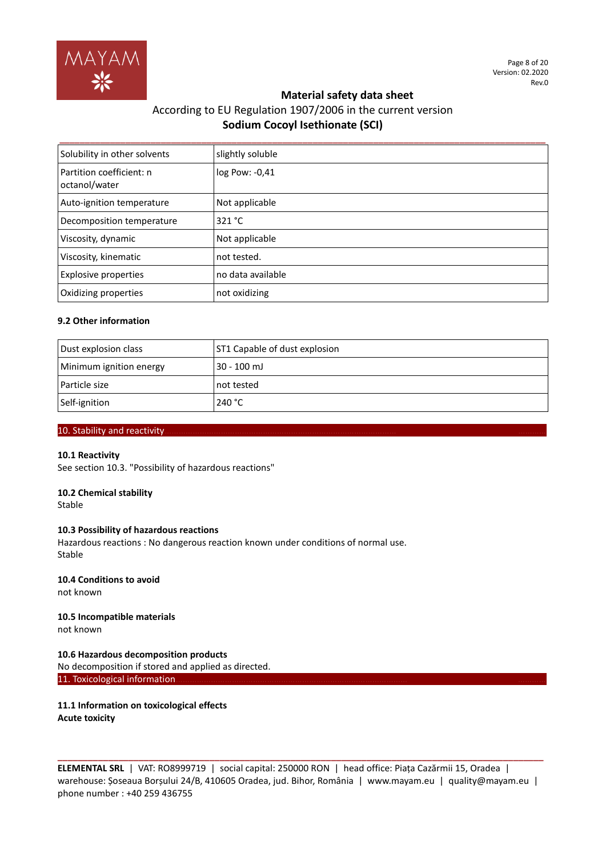

# According to EU Regulation 1907/2006 in the current version **Sodium Cocoyl Isethionate (SCI)**

| Solubility in other solvents              | slightly soluble  |
|-------------------------------------------|-------------------|
| Partition coefficient: n<br>octanol/water | log Pow: -0,41    |
| Auto-ignition temperature                 | Not applicable    |
| Decomposition temperature                 | 321 °C            |
| Viscosity, dynamic                        | Not applicable    |
| Viscosity, kinematic                      | not tested.       |
| <b>Explosive properties</b>               | no data available |
| Oxidizing properties                      | not oxidizing     |

## **9.2 Other information**

| Dust explosion class    | ST1 Capable of dust explosion |
|-------------------------|-------------------------------|
| Minimum ignition energy | 30 - 100 mJ                   |
| Particle size           | l not tested                  |
| Self-ignition           | 240 $^{\circ}$ C              |

## 10. Stability and reactivity.

#### **10.1 Reactivity**

See section 10.3. "Possibility of hazardous reactions"

## **10.2 Chemical stability**

Stable

#### **10.3 Possibility of hazardous reactions**

Hazardous reactions : No dangerous reaction known under conditions of normal use. Stable

#### **10.4 Conditions to avoid** not known

#### **10.5 Incompatible materials** not known

**10.6 Hazardous decomposition products** No decomposition if stored and applied as directed. 11. Toxicological information

**11.1 Information on toxicological effects Acute toxicity**

**ELEMENTAL SRL** | VAT: RO8999719 | social capital: 250000 RON | head office: Piața Cazărmii 15, Oradea | warehouse: Șoseaua Borșului 24/B, 410605 Oradea, jud. Bihor, România | www.mayam.eu | quality@mayam.eu | phone number : +40 259 436755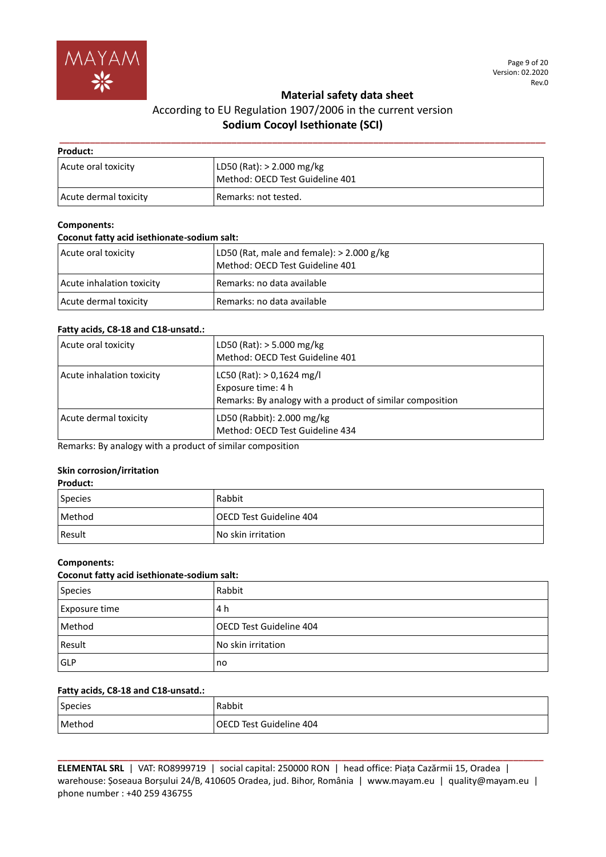

# According to EU Regulation 1907/2006 in the current version **Sodium Cocoyl Isethionate (SCI)**

| Product:              |                                                              |  |
|-----------------------|--------------------------------------------------------------|--|
| Acute oral toxicity   | LD50 (Rat): > 2.000 mg/kg<br>Method: OECD Test Guideline 401 |  |
| Acute dermal toxicity | Remarks: not tested.                                         |  |

### **Components:**

### **Coconut fatty acid isethionate-sodium salt:**

| Acute oral toxicity       | LD50 (Rat, male and female): $> 2.000$ g/kg<br>Method: OECD Test Guideline 401 |
|---------------------------|--------------------------------------------------------------------------------|
| Acute inhalation toxicity | Remarks: no data available                                                     |
| Acute dermal toxicity     | Remarks: no data available                                                     |

## **Fatty acids, C8-18 and C18-unsatd.:**

| Acute oral toxicity       | LD50 (Rat): $>$ 5.000 mg/kg<br>Method: OECD Test Guideline 401                                                 |
|---------------------------|----------------------------------------------------------------------------------------------------------------|
| Acute inhalation toxicity | LC50 (Rat): $> 0,1624$ mg/l<br>Exposure time: 4 h<br>Remarks: By analogy with a product of similar composition |
| Acute dermal toxicity     | LD50 (Rabbit): 2.000 mg/kg<br>Method: OECD Test Guideline 434                                                  |

Remarks: By analogy with a product of similar composition

## **Skin corrosion/irritation**

| Product: |                           |
|----------|---------------------------|
| Species  | Rabbit                    |
| Method   | l OECD Test Guideline 404 |
| Result   | No skin irritation        |

#### **Components:**

## **Coconut fatty acid isethionate-sodium salt:**

| <b>Species</b> | Rabbit                    |
|----------------|---------------------------|
| Exposure time  | 4 h                       |
| Method         | l OECD Test Guideline 404 |
| Result         | No skin irritation        |
| <b>GLP</b>     | no                        |

## **Fatty acids, C8-18 and C18-unsatd.:**

| Species | Rabbit                  |
|---------|-------------------------|
| Method  | OECD Test Guideline 404 |

**ELEMENTAL SRL** | VAT: RO8999719 | social capital: 250000 RON | head office: Piața Cazărmii 15, Oradea | warehouse: Șoseaua Borșului 24/B, 410605 Oradea, jud. Bihor, România | www.mayam.eu | quality@mayam.eu | phone number : +40 259 436755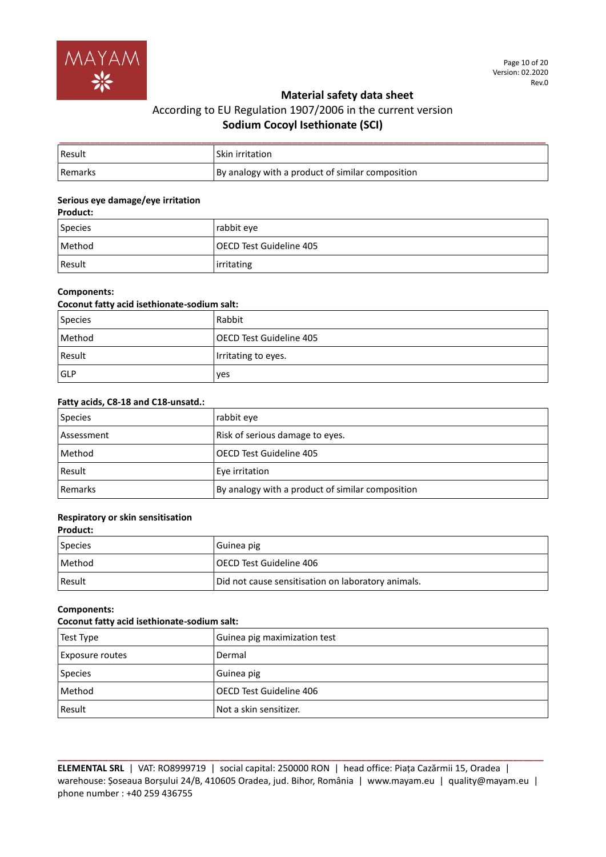

| <b>Result</b>  | l Skin irritation                                |
|----------------|--------------------------------------------------|
| <b>Remarks</b> | By analogy with a product of similar composition |

#### **Serious eye damage/eye irritation Product:**

| <b>Product:</b> |                         |
|-----------------|-------------------------|
| Species         | rabbit eve              |
| Method          | OECD Test Guideline 405 |
| Result          | irritating              |

## **Components:**

| Coconut fatty acid isethionate-sodium salt: |                           |
|---------------------------------------------|---------------------------|
| Species                                     | Rabbit                    |
| Method                                      | l OECD Test Guideline 405 |
| Result                                      | Irritating to eyes.       |
| <b>IGLP</b>                                 | ves                       |

## **Fatty acids, C8-18 and C18-unsatd.:**

| Species    | rabbit eye                                       |
|------------|--------------------------------------------------|
| Assessment | Risk of serious damage to eyes.                  |
| Method     | OECD Test Guideline 405                          |
| Result     | Eye irritation                                   |
| l Remarks  | By analogy with a product of similar composition |

# **Respiratory or skin sensitisation**

# **Product:**

| Species       | Guinea pig                                         |
|---------------|----------------------------------------------------|
| <b>Method</b> | l OECD Test Guideline 406                          |
| Result        | Did not cause sensitisation on laboratory animals. |

## **Components:**

## **Coconut fatty acid isethionate-sodium salt:**

| Test Type              | Guinea pig maximization test |
|------------------------|------------------------------|
| <b>Exposure routes</b> | Dermal                       |
| <b>Species</b>         | Guinea pig                   |
| Method                 | OECD Test Guideline 406      |
| Result                 | Not a skin sensitizer.       |

**ELEMENTAL SRL** | VAT: RO8999719 | social capital: 250000 RON | head office: Piața Cazărmii 15, Oradea | warehouse: Șoseaua Borșului 24/B, 410605 Oradea, jud. Bihor, România | www.mayam.eu | quality@mayam.eu | phone number : +40 259 436755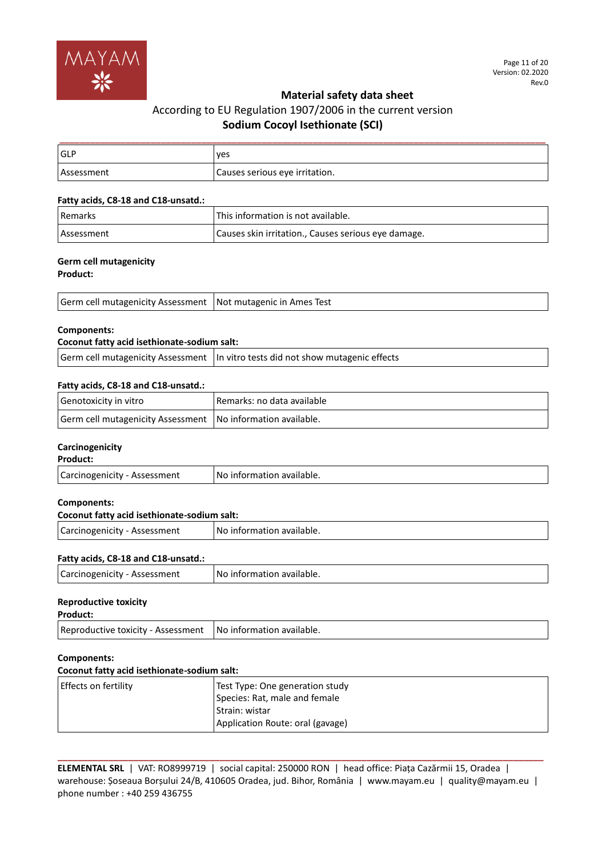

# According to EU Regulation 1907/2006 in the current version **Sodium Cocoyl Isethionate (SCI)**

| <b>IGLF</b> | ves                            |
|-------------|--------------------------------|
| Assessment  | Causes serious eye irritation. |

## **Fatty acids, C8-18 and C18-unsatd.:**

| <b>Remarks</b>    | This information is not available.                  |
|-------------------|-----------------------------------------------------|
| <b>Assessment</b> | Causes skin irritation., Causes serious eye damage. |

# **Germ cell mutagenicity**

**Product:**

| Germ cell mutagenicity Assessment   Not mutagenic in Ames Test |  |
|----------------------------------------------------------------|--|
|----------------------------------------------------------------|--|

## **Components:**

## **Coconut fatty acid isethionate-sodium salt:**

Germ cell mutagenicity Assessment  $\vert$  In vitro tests did not show mutagenic effects

## **Fatty acids, C8-18 and C18-unsatd.:**

| Genotoxicity in vitro                                         | Remarks: no data available |
|---------------------------------------------------------------|----------------------------|
| Germ cell mutagenicity Assessment   No information available. |                            |

## **Carcinogenicity**

| <b>Product:</b> |  |
|-----------------|--|
|                 |  |

| Carcinogenicity - Assessment | No information available. |
|------------------------------|---------------------------|
|------------------------------|---------------------------|

#### **Components:**

| Coconut fatty acid isethionate-sodium salt: |                           |
|---------------------------------------------|---------------------------|
| Carcinogenicity - Assessment                | No information available. |

## **Fatty acids, C8-18 and C18-unsatd.:**

| Carcinogenicity - Assessment | I No information available. |
|------------------------------|-----------------------------|
|------------------------------|-----------------------------|

#### **Reproductive toxicity**

| Product:                                                       |  |
|----------------------------------------------------------------|--|
| Reproductive toxicity - Assessment   No information available. |  |

#### **Components:**

### **Coconut fatty acid isethionate-sodium salt:**

| Effects on fertility | Test Type: One generation study  |
|----------------------|----------------------------------|
|                      | Species: Rat, male and female    |
|                      | Strain: wistar                   |
|                      | Application Route: oral (gavage) |

**ELEMENTAL SRL** | VAT: RO8999719 | social capital: 250000 RON | head office: Piața Cazărmii 15, Oradea | warehouse: Șoseaua Borșului 24/B, 410605 Oradea, jud. Bihor, România | www.mayam.eu | quality@mayam.eu | phone number : +40 259 436755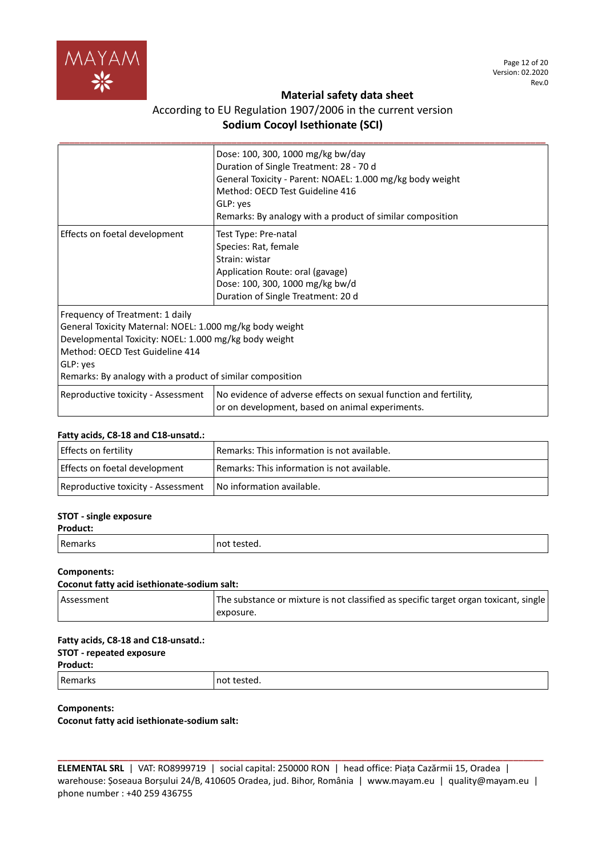

# According to EU Regulation 1907/2006 in the current version **Sodium Cocoyl Isethionate (SCI)**

|                                                                                                                                                                                                                                                                  | Dose: 100, 300, 1000 mg/kg bw/day<br>Duration of Single Treatment: 28 - 70 d<br>General Toxicity - Parent: NOAEL: 1.000 mg/kg body weight<br>Method: OECD Test Guideline 416<br>GLP: yes<br>Remarks: By analogy with a product of similar composition |
|------------------------------------------------------------------------------------------------------------------------------------------------------------------------------------------------------------------------------------------------------------------|-------------------------------------------------------------------------------------------------------------------------------------------------------------------------------------------------------------------------------------------------------|
| Effects on foetal development                                                                                                                                                                                                                                    | Test Type: Pre-natal<br>Species: Rat, female<br>Strain: wistar<br>Application Route: oral (gavage)<br>Dose: 100, 300, 1000 mg/kg bw/d<br>Duration of Single Treatment: 20 d                                                                           |
| Frequency of Treatment: 1 daily<br>General Toxicity Maternal: NOEL: 1.000 mg/kg body weight<br>Developmental Toxicity: NOEL: 1.000 mg/kg body weight<br>Method: OECD Test Guideline 414<br>GLP: yes<br>Remarks: By analogy with a product of similar composition |                                                                                                                                                                                                                                                       |
| Reproductive toxicity - Assessment                                                                                                                                                                                                                               | No evidence of adverse effects on sexual function and fertility,<br>or on development, based on animal experiments.                                                                                                                                   |

#### **Fatty acids, C8-18 and C18-unsatd.:**

| <b>Effects on fertility</b>        | Remarks: This information is not available.        |
|------------------------------------|----------------------------------------------------|
| Effects on foetal development      | <b>Remarks: This information is not available.</b> |
| Reproductive toxicity - Assessment | No information available.                          |

## **STOT - single exposure**

#### **Product:**

| Remarks | not tested. |
|---------|-------------|
|         |             |

## **Components:**

#### **Coconut fatty acid isethionate-sodium salt:**

| <b>Assessment</b> | The substance or mixture is not classified as specific target organ toxicant, single |
|-------------------|--------------------------------------------------------------------------------------|
|                   | exposure.                                                                            |

#### **Fatty acids, C8-18 and C18-unsatd.:**

## **STOT - repeated exposure**

#### **Product:**

Remarks **not tested**.

## **Components:**

**Coconut fatty acid isethionate-sodium salt:**

**ELEMENTAL SRL** | VAT: RO8999719 | social capital: 250000 RON | head office: Piața Cazărmii 15, Oradea | warehouse: Șoseaua Borșului 24/B, 410605 Oradea, jud. Bihor, România | www.mayam.eu | quality@mayam.eu | phone number : +40 259 436755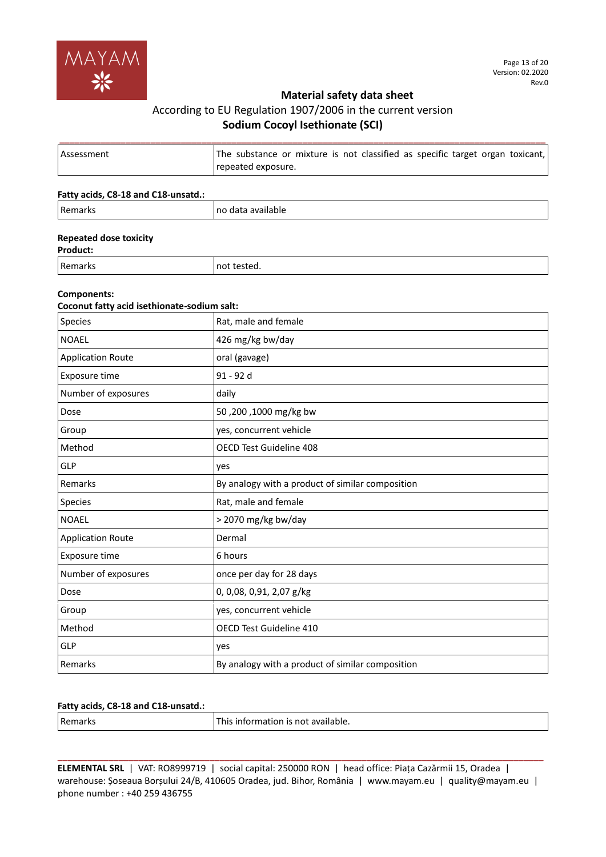

# According to EU Regulation 1907/2006 in the current version **Sodium Cocoyl Isethionate (SCI)**

| <b>Assessment</b> | The substance or mixture is not classified as specific target organ toxicant,<br>repeated exposure. |
|-------------------|-----------------------------------------------------------------------------------------------------|

### **Fatty acids, C8-18 and C18-unsatd.:**

| <b>D</b><br>N.<br>- 13 | $-$<br>пс<br>17.<br> |
|------------------------|----------------------|
|------------------------|----------------------|

## **Repeated dose toxicity**

**Product:**

Remarks not tested.

## **Components:**

| Coconut fatty acid isethionate-sodium salt: |                                                  |  |
|---------------------------------------------|--------------------------------------------------|--|
| Species                                     | Rat, male and female                             |  |
| <b>NOAEL</b>                                | 426 mg/kg bw/day                                 |  |
| <b>Application Route</b>                    | oral (gavage)                                    |  |
| Exposure time                               | 91 - 92 d                                        |  |
| Number of exposures                         | daily                                            |  |
| Dose                                        | 50,200,1000 mg/kg bw                             |  |
| Group                                       | yes, concurrent vehicle                          |  |
| Method                                      | OECD Test Guideline 408                          |  |
| GLP                                         | yes                                              |  |
| Remarks                                     | By analogy with a product of similar composition |  |
| Species                                     | Rat, male and female                             |  |
| <b>NOAEL</b>                                | > 2070 mg/kg bw/day                              |  |
| <b>Application Route</b>                    | Dermal                                           |  |
| Exposure time                               | 6 hours                                          |  |
| Number of exposures                         | once per day for 28 days                         |  |
| Dose                                        | 0, 0,08, 0,91, 2,07 g/kg                         |  |
| Group                                       | yes, concurrent vehicle                          |  |
| Method                                      | <b>OECD Test Guideline 410</b>                   |  |
| <b>GLP</b>                                  | yes                                              |  |
| Remarks                                     | By analogy with a product of similar composition |  |

## **Fatty acids, C8-18 and C18-unsatd.:**

| Rema<br>1 N.Y<br>______ | `available.<br>information is not<br>This.<br>- - - - |
|-------------------------|-------------------------------------------------------|
|                         |                                                       |

**ELEMENTAL SRL** | VAT: RO8999719 | social capital: 250000 RON | head office: Piața Cazărmii 15, Oradea | warehouse: Șoseaua Borșului 24/B, 410605 Oradea, jud. Bihor, România | www.mayam.eu | quality@mayam.eu | phone number : +40 259 436755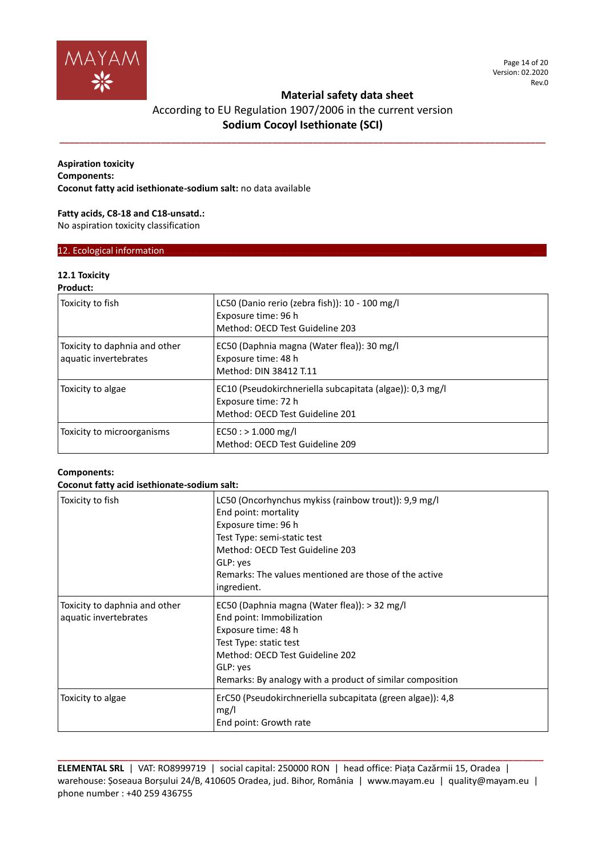

**\_\_\_\_\_\_\_\_\_\_\_\_\_\_\_\_\_\_\_\_\_\_\_\_\_\_\_\_\_\_\_\_\_\_\_\_\_\_\_\_\_\_\_\_\_\_\_\_\_\_\_\_\_\_\_\_\_\_\_\_\_\_\_\_\_\_\_\_\_\_\_\_\_\_\_\_\_\_\_\_\_\_\_\_\_\_\_\_\_\_\_\_\_\_\_\_**

## **Aspiration toxicity Components: Coconut fatty acid isethionate-sodium salt:** no data available

## **Fatty acids, C8-18 and C18-unsatd.:** No aspiration toxicity classification

# 12. Ecological information

# **12.1 Toxicity**

## **Product:**

| Toxicity to fish                                       | LC50 (Danio rerio (zebra fish)): 10 - 100 mg/l<br>Exposure time: 96 h<br>Method: OECD Test Guideline 203           |
|--------------------------------------------------------|--------------------------------------------------------------------------------------------------------------------|
| Toxicity to daphnia and other<br>aquatic invertebrates | EC50 (Daphnia magna (Water flea)): 30 mg/l<br>Exposure time: 48 h<br>Method: DIN 38412 T.11                        |
| Toxicity to algae                                      | EC10 (Pseudokirchneriella subcapitata (algae)): 0,3 mg/l<br>Exposure time: 72 h<br>Method: OECD Test Guideline 201 |
| Toxicity to microorganisms                             | $EC50:$ > 1.000 mg/l<br>Method: OECD Test Guideline 209                                                            |

## **Components:**

## **Coconut fatty acid isethionate-sodium salt:**

| Toxicity to fish                                       | LC50 (Oncorhynchus mykiss (rainbow trout)): 9,9 mg/l<br>End point: mortality<br>Exposure time: 96 h<br>Test Type: semi-static test<br>Method: OECD Test Guideline 203<br>GLP: yes<br>Remarks: The values mentioned are those of the active<br>ingredient. |
|--------------------------------------------------------|-----------------------------------------------------------------------------------------------------------------------------------------------------------------------------------------------------------------------------------------------------------|
| Toxicity to daphnia and other<br>aquatic invertebrates | EC50 (Daphnia magna (Water flea)): > 32 mg/l<br>End point: Immobilization<br>Exposure time: 48 h<br>Test Type: static test<br>Method: OECD Test Guideline 202<br>GLP: yes<br>Remarks: By analogy with a product of similar composition                    |
| Toxicity to algae                                      | ErC50 (Pseudokirchneriella subcapitata (green algae)): 4,8<br>mg/l<br>End point: Growth rate                                                                                                                                                              |

**ELEMENTAL SRL** | VAT: RO8999719 | social capital: 250000 RON | head office: Piața Cazărmii 15, Oradea | warehouse: Șoseaua Borșului 24/B, 410605 Oradea, jud. Bihor, România | www.mayam.eu | quality@mayam.eu | phone number : +40 259 436755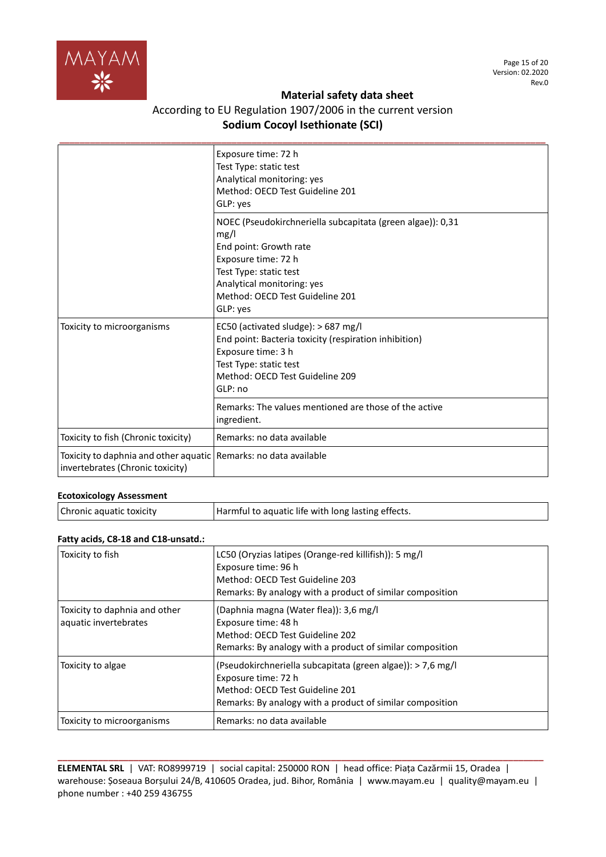

# According to EU Regulation 1907/2006 in the current version **Sodium Cocoyl Isethionate (SCI)**

|                                                                                                      | Exposure time: 72 h<br>Test Type: static test<br>Analytical monitoring: yes<br>Method: OECD Test Guideline 201<br>GLP: yes                                                                                                 |
|------------------------------------------------------------------------------------------------------|----------------------------------------------------------------------------------------------------------------------------------------------------------------------------------------------------------------------------|
|                                                                                                      | NOEC (Pseudokirchneriella subcapitata (green algae)): 0,31<br>mg/l<br>End point: Growth rate<br>Exposure time: 72 h<br>Test Type: static test<br>Analytical monitoring: yes<br>Method: OECD Test Guideline 201<br>GLP: yes |
| Toxicity to microorganisms                                                                           | EC50 (activated sludge): > 687 mg/l<br>End point: Bacteria toxicity (respiration inhibition)<br>Exposure time: 3 h<br>Test Type: static test<br>Method: OECD Test Guideline 209<br>GLP: no                                 |
|                                                                                                      | Remarks: The values mentioned are those of the active<br>ingredient.                                                                                                                                                       |
| Toxicity to fish (Chronic toxicity)                                                                  | Remarks: no data available                                                                                                                                                                                                 |
| Toxicity to daphnia and other aquatic Remarks: no data available<br>invertebrates (Chronic toxicity) |                                                                                                                                                                                                                            |

## **Ecotoxicology Assessment**

| Chronic aquatic toxicity | Harmful to aquatic life with long lasting effects. |
|--------------------------|----------------------------------------------------|
|                          |                                                    |

## **Fatty acids, C8-18 and C18-unsatd.:**

| Toxicity to fish                                       | LC50 (Oryzias latipes (Orange-red killifish)): 5 mg/l<br>Exposure time: 96 h<br>Method: OECD Test Guideline 203<br>Remarks: By analogy with a product of similar composition       |
|--------------------------------------------------------|------------------------------------------------------------------------------------------------------------------------------------------------------------------------------------|
| Toxicity to daphnia and other<br>aquatic invertebrates | (Daphnia magna (Water flea)): 3,6 mg/l<br>Exposure time: 48 h<br>Method: OECD Test Guideline 202<br>Remarks: By analogy with a product of similar composition                      |
| Toxicity to algae                                      | (Pseudokirchneriella subcapitata (green algae)): > 7,6 mg/l<br>Exposure time: 72 h<br>Method: OECD Test Guideline 201<br>Remarks: By analogy with a product of similar composition |
| Toxicity to microorganisms                             | Remarks: no data available                                                                                                                                                         |

**ELEMENTAL SRL** | VAT: RO8999719 | social capital: 250000 RON | head office: Piața Cazărmii 15, Oradea | warehouse: Șoseaua Borșului 24/B, 410605 Oradea, jud. Bihor, România | www.mayam.eu | quality@mayam.eu | phone number : +40 259 436755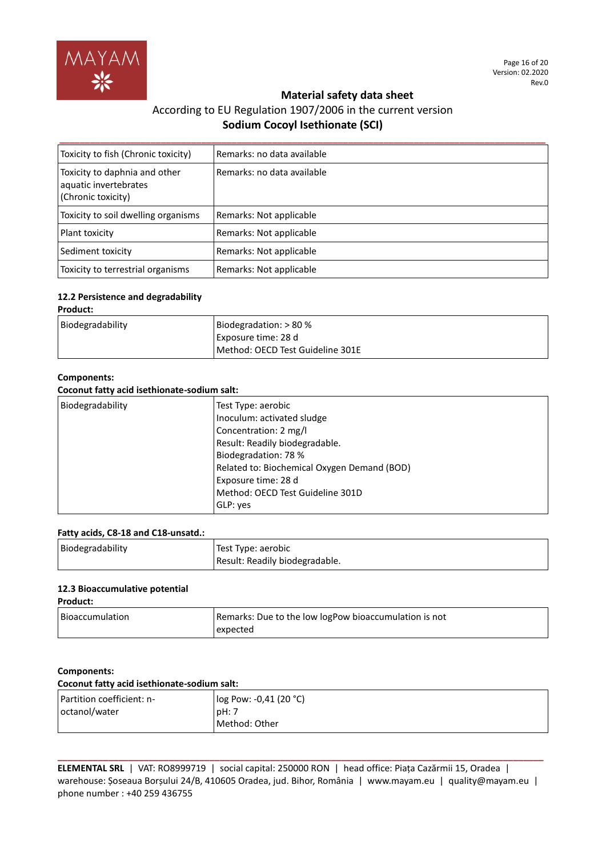

# According to EU Regulation 1907/2006 in the current version **Sodium Cocoyl Isethionate (SCI)**

| Toxicity to fish (Chronic toxicity)                                          | Remarks: no data available |
|------------------------------------------------------------------------------|----------------------------|
| Toxicity to daphnia and other<br>aquatic invertebrates<br>(Chronic toxicity) | Remarks: no data available |
| Toxicity to soil dwelling organisms                                          | Remarks: Not applicable    |
| Plant toxicity                                                               | Remarks: Not applicable    |
| Sediment toxicity                                                            | Remarks: Not applicable    |
| Toxicity to terrestrial organisms                                            | Remarks: Not applicable    |

#### **12.2 Persistence and degradability Product:**

| Proguct:         |                                  |
|------------------|----------------------------------|
| Biodegradability | Biodegradation: $> 80\%$         |
|                  | Exposure time: 28 d              |
|                  | Method: OECD Test Guideline 301E |

## **Components:**

### **Coconut fatty acid isethionate-sodium salt:**

| Test Type: aerobic<br>Inoculum: activated sludge<br>Concentration: 2 mg/l<br>Result: Readily biodegradable.<br>Biodegradation: 78 %<br>Related to: Biochemical Oxygen Demand (BOD)<br>Exposure time: 28 d<br>Method: OECD Test Guideline 301D<br>GLP: yes | Biodegradability |
|-----------------------------------------------------------------------------------------------------------------------------------------------------------------------------------------------------------------------------------------------------------|------------------|

## **Fatty acids, C8-18 and C18-unsatd.:**

| Biodegradability | Test Type: aerobic             |
|------------------|--------------------------------|
|                  | Result: Readily biodegradable. |

## **12.3 Bioaccumulative potential**

**Product:**

| l Bioaccumulation | Remarks: Due to the low logPow bioaccumulation is not |
|-------------------|-------------------------------------------------------|
|                   | expected                                              |

## **Components:**

| Coconut fatty acid isethionate-sodium salt: |                        |
|---------------------------------------------|------------------------|
| Partition coefficient: n-                   | log Pow: -0,41 (20 °C) |
| octanol/water                               | pH:7                   |
|                                             | l Method: Other        |

**ELEMENTAL SRL** | VAT: RO8999719 | social capital: 250000 RON | head office: Piața Cazărmii 15, Oradea | warehouse: Șoseaua Borșului 24/B, 410605 Oradea, jud. Bihor, România | www.mayam.eu | quality@mayam.eu | phone number : +40 259 436755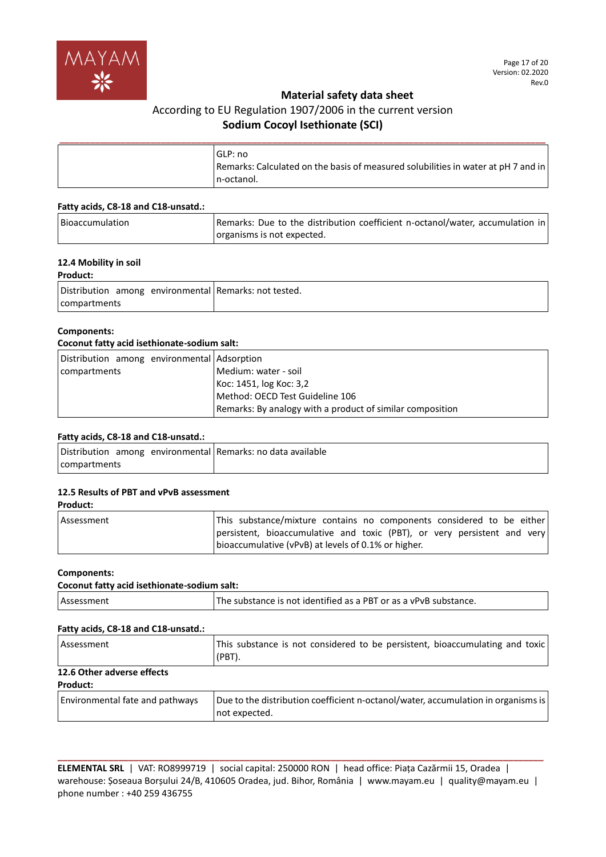

# According to EU Regulation 1907/2006 in the current version **Sodium Cocoyl Isethionate (SCI)**

| l GLP: no<br>Remarks: Calculated on the basis of measured solubilities in water at pH 7 and in<br>I n-octanol. |
|----------------------------------------------------------------------------------------------------------------|

#### **Fatty acids, C8-18 and C18-unsatd.:**

| <b>Bioaccumulation</b> | Remarks: Due to the distribution coefficient n-octanol/water, accumulation in |
|------------------------|-------------------------------------------------------------------------------|
|                        | organisms is not expected.                                                    |

## **12.4 Mobility in soil**

## **Product:**

| Distribution among environmental Remarks: not tested. |  |
|-------------------------------------------------------|--|
| compartments                                          |  |

## **Components:**

## **Coconut fatty acid isethionate-sodium salt:**

| Distribution among environmental Adsorption |                                                           |
|---------------------------------------------|-----------------------------------------------------------|
| compartments                                | Medium: water - soil                                      |
|                                             | Koc: 1451, log Koc: 3,2                                   |
|                                             | Method: OECD Test Guideline 106                           |
|                                             | Remarks: By analogy with a product of similar composition |

## **Fatty acids, C8-18 and C18-unsatd.:**

| Distribution among environmental Remarks: no data available |  |
|-------------------------------------------------------------|--|
| compartments                                                |  |

## **12.5 Results of PBT and vPvB assessment**

#### **Product:**

| Assessment | This substance/mixture contains no components considered to be either                                                           |
|------------|---------------------------------------------------------------------------------------------------------------------------------|
|            | persistent, bioaccumulative and toxic (PBT), or very persistent and very<br>bioaccumulative (vPvB) at levels of 0.1% or higher. |

## **Components:**

#### **Coconut fatty acid isethionate-sodium salt:**

| Assessment | <sup>1</sup> The substance is not identified as a PBT or as a vPvB substance. |
|------------|-------------------------------------------------------------------------------|
|            |                                                                               |

## **Fatty acids, C8-18 and C18-unsatd.:**

| Assessment                                    | This substance is not considered to be persistent, bioaccumulating and toxic<br>$(PBT)$ .          |
|-----------------------------------------------|----------------------------------------------------------------------------------------------------|
| 12.6 Other adverse effects<br><b>Product:</b> |                                                                                                    |
| <b>Environmental fate and pathways</b>        | Due to the distribution coefficient n-octanol/water, accumulation in organisms is<br>not expected. |

**ELEMENTAL SRL** | VAT: RO8999719 | social capital: 250000 RON | head office: Piața Cazărmii 15, Oradea | warehouse: Șoseaua Borșului 24/B, 410605 Oradea, jud. Bihor, România | www.mayam.eu | quality@mayam.eu | phone number : +40 259 436755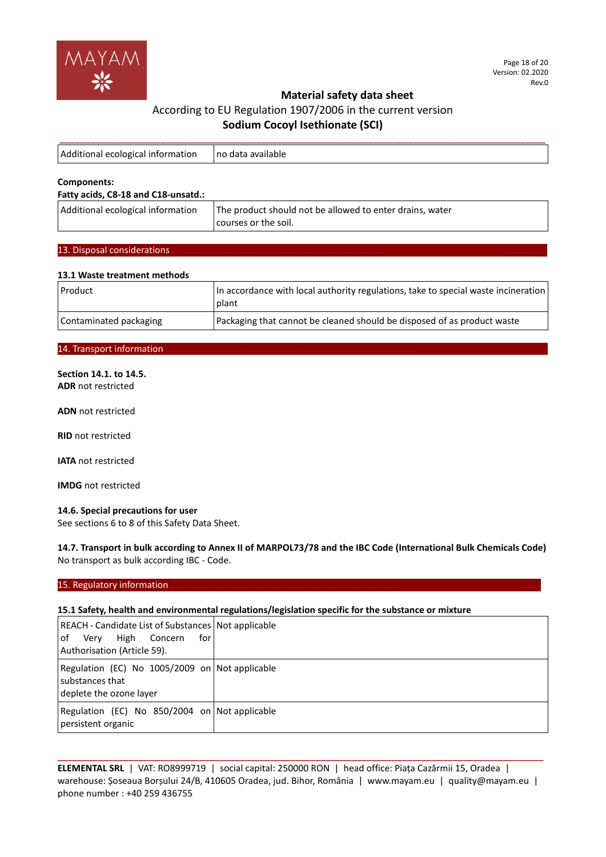

| Additional ecological information | no data available |
|-----------------------------------|-------------------|
|                                   |                   |
| Components:                       |                   |

## **Fatty acids, C8-18 and C18-unsatd.:**

| Additional ecological information | The product should not be allowed to enter drains, water |
|-----------------------------------|----------------------------------------------------------|
|                                   | courses or the soil.                                     |

## 13. Disposal considerations

## **13.1 Waste treatment methods**

| Product                | In accordance with local authority regulations, take to special waste incineration<br>l plant |
|------------------------|-----------------------------------------------------------------------------------------------|
| Contaminated packaging | Packaging that cannot be cleaned should be disposed of as product waste                       |

### 14. Transport information

## **Section 14.1. to 14.5.**

**ADR** not restricted

**ADN** not restricted

**RID** not restricted

**IATA** not restricted

**IMDG** not restricted

## **14.6. Special precautions for user**

See sections 6 to 8 of this Safety Data Sheet.

**14.7. Transport in bulk according to Annex II of MARPOL73/78 and the IBC Code (International Bulk Chemicals Code)** No transport as bulk according IBC - Code.

## 15. Regulatory information.

## **15.1 Safety, health and environmental regulations/legislation specific for the substance or mixture**

| REACH - Candidate List of Substances   Not applicable<br>of Very<br>High<br>Concern<br>for<br>Authorisation (Article 59). |  |
|---------------------------------------------------------------------------------------------------------------------------|--|
| Regulation (EC) No 1005/2009 on Not applicable<br>substances that<br>deplete the ozone layer                              |  |
| Regulation (EC) No 850/2004 on Not applicable<br>persistent organic                                                       |  |

**ELEMENTAL SRL** | VAT: RO8999719 | social capital: 250000 RON | head office: Piața Cazărmii 15, Oradea | warehouse: Șoseaua Borșului 24/B, 410605 Oradea, jud. Bihor, România | www.mayam.eu | quality@mayam.eu | phone number : +40 259 436755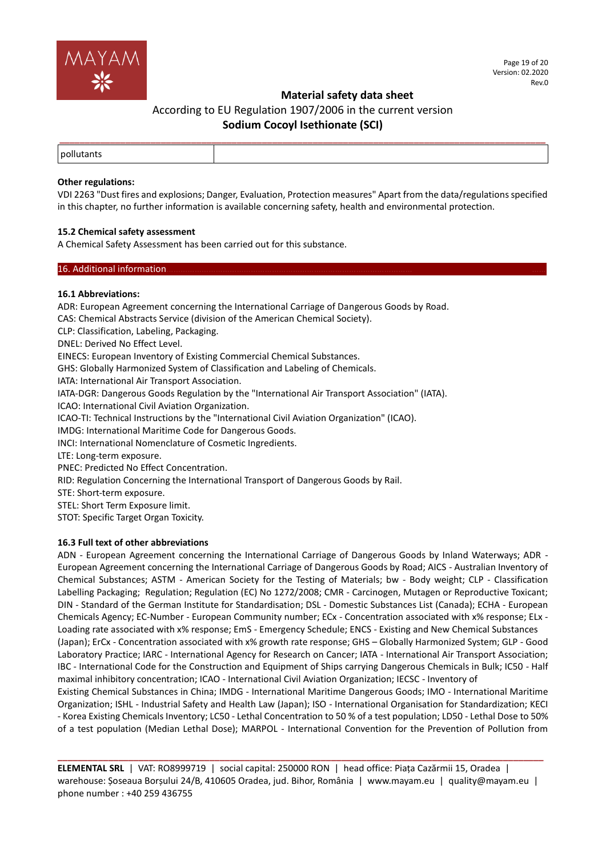

# According to EU Regulation 1907/2006 in the current version **Sodium Cocoyl Isethionate (SCI)**

## **Other regulations:**

VDI 2263 "Dust fires and explosions; Danger, Evaluation, Protection measures" Apart from the data/regulations specified in this chapter, no further information is available concerning safety, health and environmental protection.

## **15.2 Chemical safety assessment**

A Chemical Safety Assessment has been carried out for this substance.

#### 16. Additional information.

## **16.1 Abbreviations:**

ADR: European Agreement concerning the International Carriage of Dangerous Goods by Road. CAS: Chemical Abstracts Service (division of the American Chemical Society). CLP: Classification, Labeling, Packaging. DNEL: Derived No Effect Level. EINECS: European Inventory of Existing Commercial Chemical Substances. GHS: Globally Harmonized System of Classification and Labeling of Chemicals. IATA: International Air Transport Association. IATA-DGR: Dangerous Goods Regulation by the "International Air Transport Association" (IATA). ICAO: International Civil Aviation Organization. ICAO-TI: Technical Instructions by the "International Civil Aviation Organization" (ICAO). IMDG: International Maritime Code for Dangerous Goods. INCI: International Nomenclature of Cosmetic Ingredients. LTE: Long-term exposure. PNEC: Predicted No Effect Concentration. RID: Regulation Concerning the International Transport of Dangerous Goods by Rail.

STE: Short-term exposure.

STEL: Short Term Exposure limit.

STOT: Specific Target Organ Toxicity.

## **16.3 Full text of other abbreviations**

ADN - European Agreement concerning the International Carriage of Dangerous Goods by Inland Waterways; ADR - European Agreement concerning the International Carriage of Dangerous Goods by Road; AICS - Australian Inventory of Chemical Substances; ASTM - American Society for the Testing of Materials; bw - Body weight; CLP - Classification Labelling Packaging; Regulation; Regulation (EC) No 1272/2008; CMR - Carcinogen, Mutagen or Reproductive Toxicant; DIN - Standard of the German Institute for Standardisation; DSL - Domestic Substances List (Canada); ECHA - European Chemicals Agency; EC-Number - European Community number; ECx - Concentration associated with x% response; ELx - Loading rate associated with x% response; EmS - Emergency Schedule; ENCS - Existing and New Chemical Substances (Japan); ErCx - Concentration associated with x% growth rate response; GHS – Globally Harmonized System; GLP - Good Laboratory Practice; IARC - International Agency for Research on Cancer; IATA - International Air Transport Association; IBC - International Code for the Construction and Equipment of Ships carrying Dangerous Chemicals in Bulk; IC50 - Half maximal inhibitory concentration; ICAO - International Civil Aviation Organization; IECSC - Inventory of Existing Chemical Substances in China; IMDG - International Maritime Dangerous Goods; IMO - International Maritime Organization; ISHL - Industrial Safety and Health Law (Japan); ISO - International Organisation for Standardization; KECI - Korea Existing Chemicals Inventory; LC50 - Lethal Concentration to 50 % of a test population; LD50 - Lethal Dose to 50% of a test population (Median Lethal Dose); MARPOL - International Convention for the Prevention of Pollution from

**ELEMENTAL SRL** | VAT: RO8999719 | social capital: 250000 RON | head office: Piața Cazărmii 15, Oradea | warehouse: Șoseaua Borșului 24/B, 410605 Oradea, jud. Bihor, România | www.mayam.eu | quality@mayam.eu | phone number : +40 259 436755